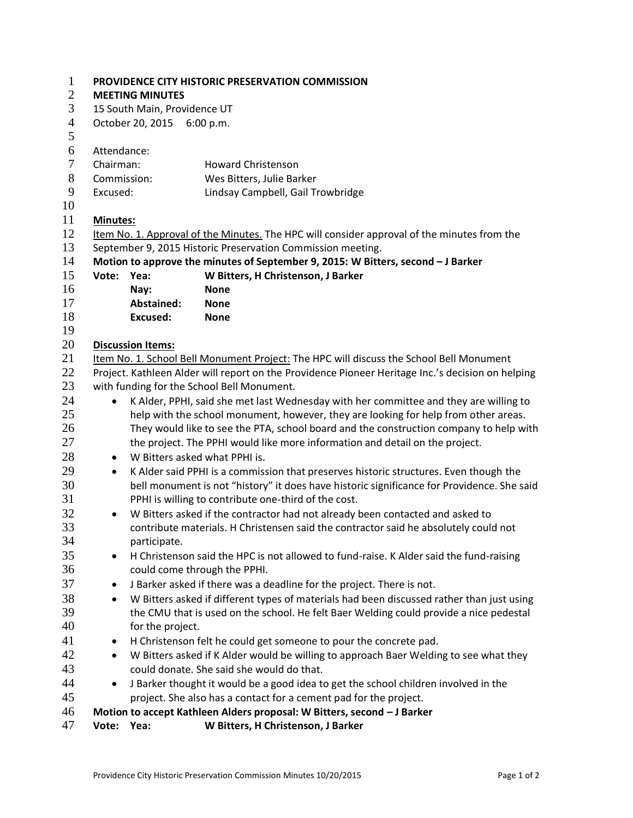| $\mathbf{1}$   | <b>PROVIDENCE CITY HISTORIC PRESERVATION COMMISSION</b>                                             |                                                                                                                                                 |                                    |  |  |  |  |  |  |
|----------------|-----------------------------------------------------------------------------------------------------|-------------------------------------------------------------------------------------------------------------------------------------------------|------------------------------------|--|--|--|--|--|--|
| $\overline{2}$ | <b>MEETING MINUTES</b>                                                                              |                                                                                                                                                 |                                    |  |  |  |  |  |  |
| 3              | 15 South Main, Providence UT                                                                        |                                                                                                                                                 |                                    |  |  |  |  |  |  |
| $\overline{4}$ | October 20, 2015 6:00 p.m.                                                                          |                                                                                                                                                 |                                    |  |  |  |  |  |  |
| 5              |                                                                                                     |                                                                                                                                                 |                                    |  |  |  |  |  |  |
| 6              | Attendance:                                                                                         |                                                                                                                                                 |                                    |  |  |  |  |  |  |
| $\tau$         | Chairman:                                                                                           |                                                                                                                                                 | <b>Howard Christenson</b>          |  |  |  |  |  |  |
| 8              | Commission:                                                                                         |                                                                                                                                                 | Wes Bitters, Julie Barker          |  |  |  |  |  |  |
| 9              | Excused:                                                                                            |                                                                                                                                                 | Lindsay Campbell, Gail Trowbridge  |  |  |  |  |  |  |
| 10             |                                                                                                     |                                                                                                                                                 |                                    |  |  |  |  |  |  |
| 11             | <b>Minutes:</b>                                                                                     |                                                                                                                                                 |                                    |  |  |  |  |  |  |
| 12             | Item No. 1. Approval of the Minutes. The HPC will consider approval of the minutes from the         |                                                                                                                                                 |                                    |  |  |  |  |  |  |
| 13             | September 9, 2015 Historic Preservation Commission meeting.                                         |                                                                                                                                                 |                                    |  |  |  |  |  |  |
| 14             | Motion to approve the minutes of September 9, 2015: W Bitters, second - J Barker                    |                                                                                                                                                 |                                    |  |  |  |  |  |  |
| 15             | Vote:                                                                                               | Yea:                                                                                                                                            | W Bitters, H Christenson, J Barker |  |  |  |  |  |  |
| 16             |                                                                                                     | Nay:                                                                                                                                            | <b>None</b>                        |  |  |  |  |  |  |
| 17             |                                                                                                     | Abstained:                                                                                                                                      | <b>None</b>                        |  |  |  |  |  |  |
| 18             |                                                                                                     | <b>Excused:</b>                                                                                                                                 | <b>None</b>                        |  |  |  |  |  |  |
| 19             |                                                                                                     |                                                                                                                                                 |                                    |  |  |  |  |  |  |
| 20             | <b>Discussion Items:</b>                                                                            |                                                                                                                                                 |                                    |  |  |  |  |  |  |
| 21             | Item No. 1. School Bell Monument Project: The HPC will discuss the School Bell Monument             |                                                                                                                                                 |                                    |  |  |  |  |  |  |
| 22             | Project. Kathleen Alder will report on the Providence Pioneer Heritage Inc.'s decision on helping   |                                                                                                                                                 |                                    |  |  |  |  |  |  |
| 23             | with funding for the School Bell Monument.                                                          |                                                                                                                                                 |                                    |  |  |  |  |  |  |
| 24             |                                                                                                     | K Alder, PPHI, said she met last Wednesday with her committee and they are willing to<br>$\bullet$                                              |                                    |  |  |  |  |  |  |
| 25             |                                                                                                     | help with the school monument, however, they are looking for help from other areas.                                                             |                                    |  |  |  |  |  |  |
| 26             |                                                                                                     | They would like to see the PTA, school board and the construction company to help with                                                          |                                    |  |  |  |  |  |  |
| 27             | the project. The PPHI would like more information and detail on the project.                        |                                                                                                                                                 |                                    |  |  |  |  |  |  |
| 28             | W Bitters asked what PPHI is.<br>$\bullet$                                                          |                                                                                                                                                 |                                    |  |  |  |  |  |  |
| 29             | K Alder said PPHI is a commission that preserves historic structures. Even though the<br>$\bullet$  |                                                                                                                                                 |                                    |  |  |  |  |  |  |
| 30             | bell monument is not "history" it does have historic significance for Providence. She said          |                                                                                                                                                 |                                    |  |  |  |  |  |  |
| 31             | PPHI is willing to contribute one-third of the cost.                                                |                                                                                                                                                 |                                    |  |  |  |  |  |  |
| 32<br>33       | W Bitters asked if the contractor had not already been contacted and asked to<br>$\bullet$          |                                                                                                                                                 |                                    |  |  |  |  |  |  |
| 34             | contribute materials. H Christensen said the contractor said he absolutely could not                |                                                                                                                                                 |                                    |  |  |  |  |  |  |
| 35             | participate.                                                                                        |                                                                                                                                                 |                                    |  |  |  |  |  |  |
| 36             | H Christenson said the HPC is not allowed to fund-raise. K Alder said the fund-raising<br>$\bullet$ |                                                                                                                                                 |                                    |  |  |  |  |  |  |
| 37             | could come through the PPHI.                                                                        |                                                                                                                                                 |                                    |  |  |  |  |  |  |
|                | J Barker asked if there was a deadline for the project. There is not.<br>$\bullet$                  |                                                                                                                                                 |                                    |  |  |  |  |  |  |
| 38             |                                                                                                     | W Bitters asked if different types of materials had been discussed rather than just using<br>$\bullet$                                          |                                    |  |  |  |  |  |  |
| 39             | the CMU that is used on the school. He felt Baer Welding could provide a nice pedestal              |                                                                                                                                                 |                                    |  |  |  |  |  |  |
| 40             |                                                                                                     | for the project.                                                                                                                                |                                    |  |  |  |  |  |  |
| 41<br>42       | H Christenson felt he could get someone to pour the concrete pad.<br>$\bullet$                      |                                                                                                                                                 |                                    |  |  |  |  |  |  |
| 43             |                                                                                                     | W Bitters asked if K Alder would be willing to approach Baer Welding to see what they<br>$\bullet$<br>could donate. She said she would do that. |                                    |  |  |  |  |  |  |
| 44             | J Barker thought it would be a good idea to get the school children involved in the<br>$\bullet$    |                                                                                                                                                 |                                    |  |  |  |  |  |  |
| 45             | project. She also has a contact for a cement pad for the project.                                   |                                                                                                                                                 |                                    |  |  |  |  |  |  |
| 46             | Motion to accept Kathleen Alders proposal: W Bitters, second - J Barker                             |                                                                                                                                                 |                                    |  |  |  |  |  |  |
| 47             |                                                                                                     | W Bitters, H Christenson, J Barker<br>Vote: Yea:                                                                                                |                                    |  |  |  |  |  |  |
|                |                                                                                                     |                                                                                                                                                 |                                    |  |  |  |  |  |  |